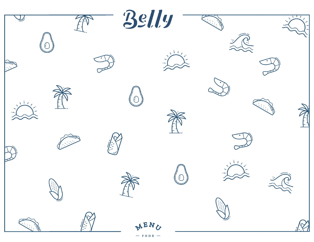